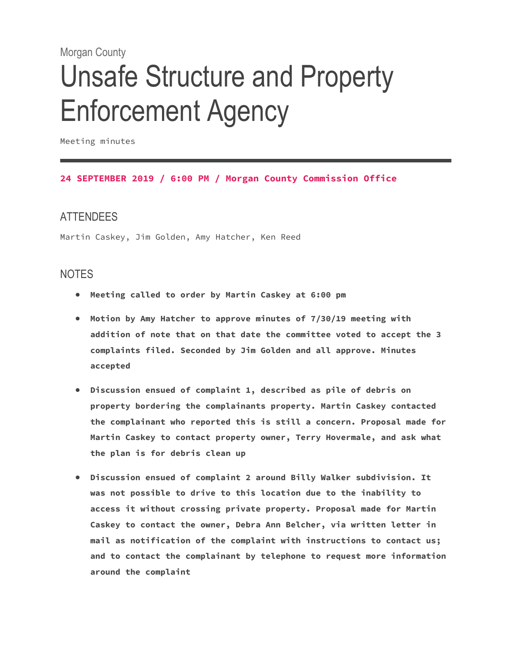# Morgan County

# Unsafe Structure and Property Enforcement Agency

Meeting minutes

#### **24 SEPTEMBER 2019 / 6:00 PM / Morgan County Commission Office**

# **ATTENDEES**

Martin Caskey, Jim Golden, Amy Hatcher, Ken Reed

# NOTES

- **Meeting called to order by Martin Caskey at 6:00 pm**
- **Motion by Amy Hatcher to approve minutes of 7/30/19 meeting with addition of note that on that date the committee voted to accept the 3 complaints filed. Seconded by Jim Golden and all approve. Minutes accepted**
- **Discussion ensued of complaint 1, described as pile of debris on property bordering the complainants property. Martin Caskey contacted the complainant who reported this is still a concern. Proposal made for Martin Caskey to contact property owner, Terry Hovermale, and ask what the plan is for debris clean up**
- **Discussion ensued of complaint 2 around Billy Walker subdivision. It was not possible to drive to this location due to the inability to access it without crossing private property. Proposal made for Martin Caskey to contact the owner, Debra Ann Belcher, via written letter in mail as notification of the complaint with instructions to contact us; and to contact the complainant by telephone to request more information around the complaint**